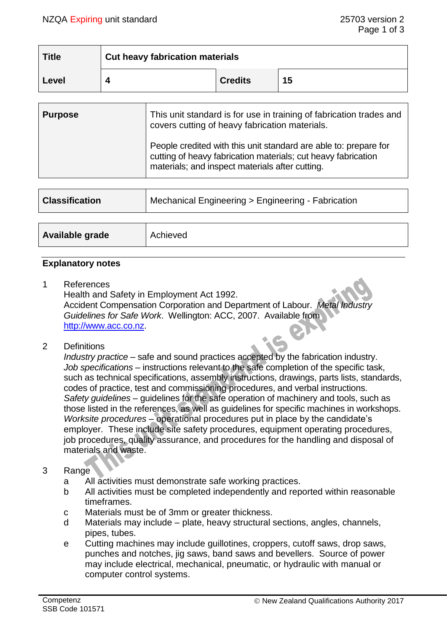| <b>Title</b> | <b>Cut heavy fabrication materials</b> |                |    |
|--------------|----------------------------------------|----------------|----|
| Level        |                                        | <b>Credits</b> | 15 |

| <b>Purpose</b> | This unit standard is for use in training of fabrication trades and<br>covers cutting of heavy fabrication materials.                                                                |  |
|----------------|--------------------------------------------------------------------------------------------------------------------------------------------------------------------------------------|--|
|                | People credited with this unit standard are able to: prepare for<br>cutting of heavy fabrication materials; cut heavy fabrication<br>materials; and inspect materials after cutting. |  |

| <b>Classification</b> | Mechanical Engineering > Engineering - Fabrication |
|-----------------------|----------------------------------------------------|
|                       |                                                    |
| Available grade       | Achieved                                           |

#### **Explanatory notes**

1 References

Health and Safety in Employment Act 1992. Accident Compensation Corporation and Department of Labour. *Metal Industry Guidelines for Safe Work*. Wellington: ACC, 2007. Available from [http://www.acc.co.nz.](http://www.acc.co.nz/)

2 Definitions

*Industry practice* – safe and sound practices accepted by the fabrication industry. *Job specifications* – instructions relevant to the safe completion of the specific task, such as technical specifications, assembly instructions, drawings, parts lists, standards, codes of practice, test and commissioning procedures, and verbal instructions. *Safety guidelines* – guidelines for the safe operation of machinery and tools, such as those listed in the references, as well as guidelines for specific machines in workshops. *Worksite procedures* – operational procedures put in place by the candidate's employer. These include site safety procedures, equipment operating procedures, job procedures, quality assurance, and procedures for the handling and disposal of materials and waste.

## 3 Range

- a All activities must demonstrate safe working practices.
- b All activities must be completed independently and reported within reasonable timeframes.
- c Materials must be of 3mm or greater thickness.
- d Materials may include plate, heavy structural sections, angles, channels, pipes, tubes.
- e Cutting machines may include guillotines, croppers, cutoff saws, drop saws, punches and notches, jig saws, band saws and bevellers. Source of power may include electrical, mechanical, pneumatic, or hydraulic with manual or computer control systems.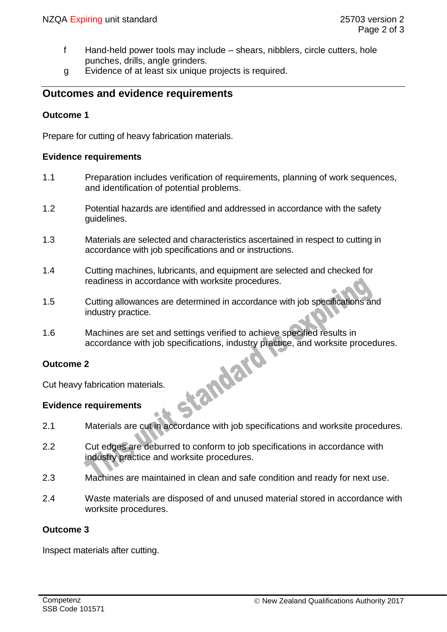- f Hand-held power tools may include shears, nibblers, circle cutters, hole punches, drills, angle grinders.
- g Evidence of at least six unique projects is required.

# **Outcomes and evidence requirements**

### **Outcome 1**

Prepare for cutting of heavy fabrication materials.

#### **Evidence requirements**

- 1.1 Preparation includes verification of requirements, planning of work sequences, and identification of potential problems.
- 1.2 Potential hazards are identified and addressed in accordance with the safety guidelines.
- 1.3 Materials are selected and characteristics ascertained in respect to cutting in accordance with job specifications and or instructions.
- 1.4 Cutting machines, lubricants, and equipment are selected and checked for readiness in accordance with worksite procedures.
- 1.5 Cutting allowances are determined in accordance with job specifications and industry practice.
- 1.6 Machines are set and settings verified to achieve specified results in accordance with job specifications, industry practice, and worksite procedures.<br>
2<br>
fabrication materials.<br>
requirements

#### **Outcome 2**

Cut heavy fabrication materials.

#### **Evidence requirements**

- 2.1 Materials are cut in accordance with job specifications and worksite procedures.
- 2.2 Cut edges are deburred to conform to job specifications in accordance with industry practice and worksite procedures.
- 2.3 Machines are maintained in clean and safe condition and ready for next use.
- 2.4 Waste materials are disposed of and unused material stored in accordance with worksite procedures.

### **Outcome 3**

Inspect materials after cutting.